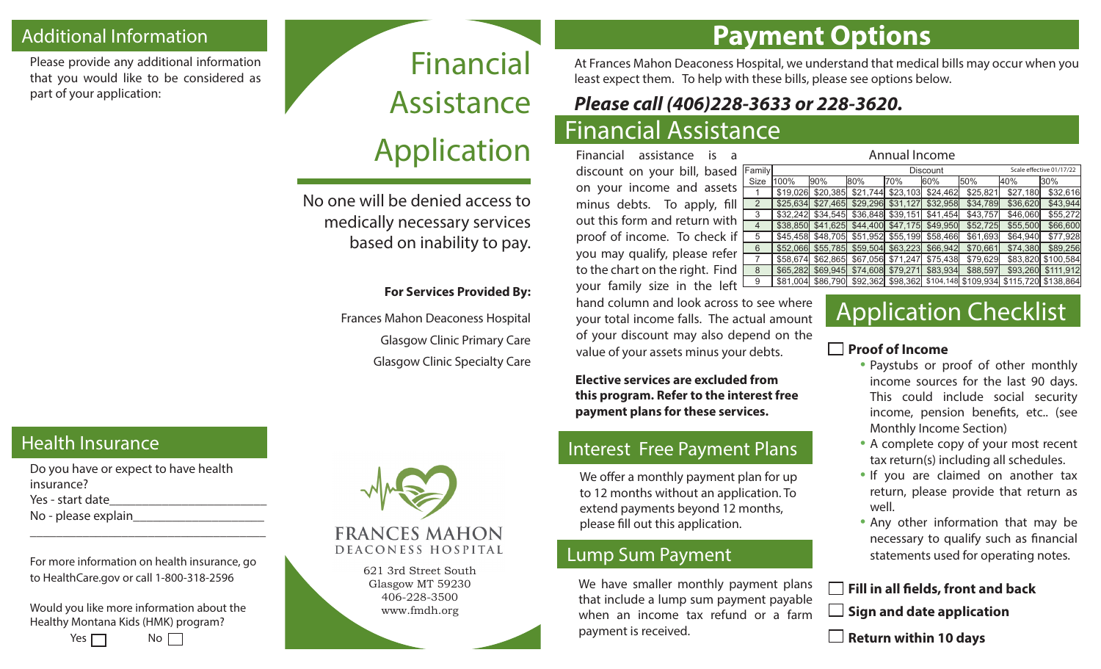### Additional Information **Payment Options**

Please provide any additional information that you would like to be considered as part of your application:

# Financial Assistance Application

No one will be denied access to medically necessary services based on inability to pay.

#### **For Services Provided By:**

Frances Mahon Deaconess Hospital Glasgow Clinic Primary Care Glasgow Clinic Specialty Care At Frances Mahon Deaconess Hospital, we understand that medical bills may occur when you least expect them. To help with these bills, please see options below.

## *Please call (406)228-3633 or 228-3620.*

### Financial Assistance

Financial assistance is a discount on your bill, based Family on your income and assets minus debts. To apply, fill out this form and return with proof of income. To check if you may qualify, please refer to the chart on the right. Find  $\left[ \right]$ your family size in the left

| hand column and look across to see where   |
|--------------------------------------------|
| your total income falls. The actual amount |
| of your discount may also depend on the    |
| value of your assets minus your debts.     |

**Elective services are excluded from this program. Refer to the interest free payment plans for these services.**

### Interest Free Payment Plans

We offer a monthly payment plan for up to 12 months without an application. To extend payments beyond 12 months, please fill out this application.

#### Lump Sum Payment

We have smaller monthly payment plans that include a lump sum payment payable when an income tax refund or a farm payment is received.

| Annual Income |                 |          |          |                   |          |                          |          |                     |
|---------------|-----------------|----------|----------|-------------------|----------|--------------------------|----------|---------------------|
| amily         | <b>Discount</b> |          |          |                   |          | Scale effective 01/17/22 |          |                     |
| Size          | 100%            | 90%      | 80%      | 70%               | 60%      | 50%                      | 40%      | l30%                |
|               | \$19,026        | \$20,385 | \$21,744 | \$23,103          | \$24,462 | \$25,821                 | \$27,180 | \$32,616            |
| 2             | \$25.634        | \$27.465 | \$29,296 | \$31.127          | \$32,958 | \$34,789                 | \$36,620 | \$43.944            |
| 3             | \$32,242        | \$34,545 |          | \$36,848 \$39,151 | \$41,454 | \$43,757                 | \$46,060 | \$55,272            |
| 4             | \$38,850        | \$41,625 |          | \$44,400 \$47,175 | \$49,950 | \$52,725                 | \$55,500 | \$66,600            |
| 5             | \$45.458        | \$48,705 | \$51,952 | \$55,199          | \$58,466 | \$61,693                 | \$64,940 | \$77,928            |
| 6             | \$52,066        | \$55,785 | \$59,504 | \$63,223          | \$66.942 | \$70,661                 | \$74,380 | \$89,256            |
|               | \$58.674        | \$62,865 | \$67,056 | \$71.247          | \$75,438 | \$79,629                 | \$83,820 | \$100,584           |
| 8             | \$65,282        | \$69,945 | \$74,608 | \$79,271          | \$83,934 | \$88,597                 | \$93,260 | \$111.912           |
| 9             | \$81.004        | \$86,790 | \$92,362 | \$98,362          |          | \$104,148 \$109,934      |          | \$115,720 \$138,864 |

## **Application Checklist**

#### **Proof of Income**

- Paystubs or proof of other monthly income sources for the last 90 days. This could include social security income, pension benefits, etc.. (see Monthly Income Section)
- A complete copy of your most recent tax return(s) including all schedules.
- If you are claimed on another tax return, please provide that return as well.
- Any other information that may be necessary to qualify such as financial statements used for operating notes.

#### **Fill in all fields, front and back**

 **Sign and date application**

 **Return within 10 days**

#### Health Insurance

Do you have or expect to have health insurance? Yes - start date No - please explain\_\_\_\_\_\_\_\_\_\_\_\_\_\_\_\_\_\_\_\_

For more information on health insurance, go to HealthCare.gov or call 1-800-318-2596

\_\_\_\_\_\_\_\_\_\_\_\_\_\_\_\_\_\_\_\_\_\_\_\_\_\_\_\_\_\_\_\_\_\_\_\_

Would you like more information about the Healthy Montana Kids (HMK) program?





Glasgow MT 59230 406-228-3500 www.fmdh.org

#### **FRANCES MAHON** DEACONESS HOSPITAL

621 3rd Street South